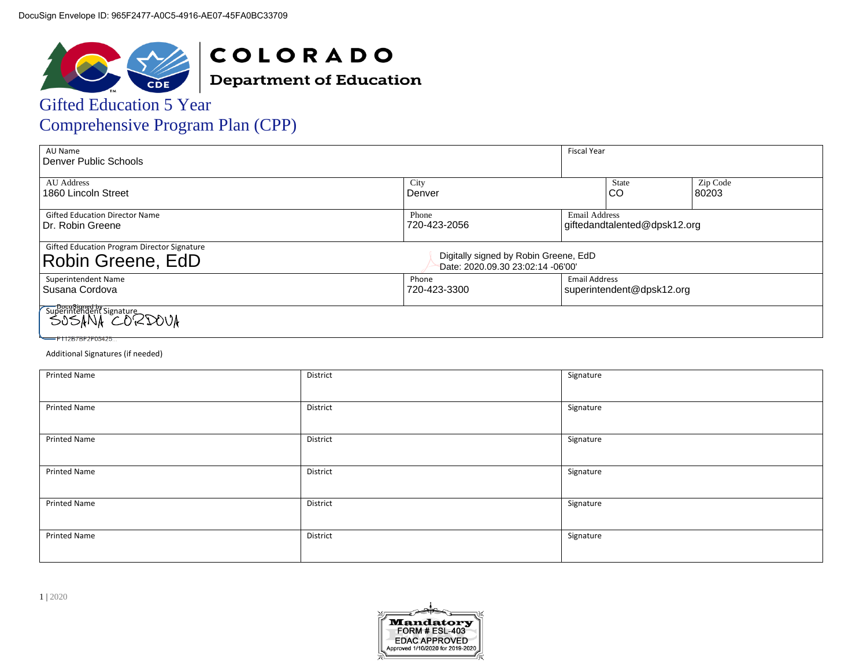

**COLORADO Department of Education** 

# Gifted Education 5 Year

| <b>Comprehensive Program Plan (CPP)</b> |  |
|-----------------------------------------|--|
|-----------------------------------------|--|

| AU Name<br>Denver Public Schools                                                             |                                                                            | <b>Fiscal Year</b>   |                              |                   |
|----------------------------------------------------------------------------------------------|----------------------------------------------------------------------------|----------------------|------------------------------|-------------------|
| <b>AU</b> Address<br>1860 Lincoln Street                                                     | City<br>Denver                                                             |                      | State<br>CO                  | Zip Code<br>80203 |
| <b>Gifted Education Director Name</b><br>Dr. Robin Greene                                    | Phone<br>720-423-2056                                                      | <b>Email Address</b> | giftedandtalented@dpsk12.org |                   |
| Gifted Education Program Director Signature<br>Robin Greene, EdD                             | Digitally signed by Robin Greene, EdD<br>Date: 2020.09.30 23:02:14 -06'00' |                      |                              |                   |
| Superintendent Name<br>Susana Cordova                                                        | Phone<br>720-423-3300                                                      | <b>Email Address</b> | superintendent@dpsk12.org    |                   |
| Superintendent Signature<br>Superintendent Signature<br>S.A.S.ANA CORDOVA<br>F112B7BF2F05425 |                                                                            |                      |                              |                   |

#### Additional Signatures (if needed)

| Printed Name        | District | Signature |
|---------------------|----------|-----------|
| <b>Printed Name</b> | District | Signature |
| <b>Printed Name</b> | District | Signature |
| <b>Printed Name</b> | District | Signature |
| <b>Printed Name</b> | District | Signature |
| <b>Printed Name</b> | District | Signature |

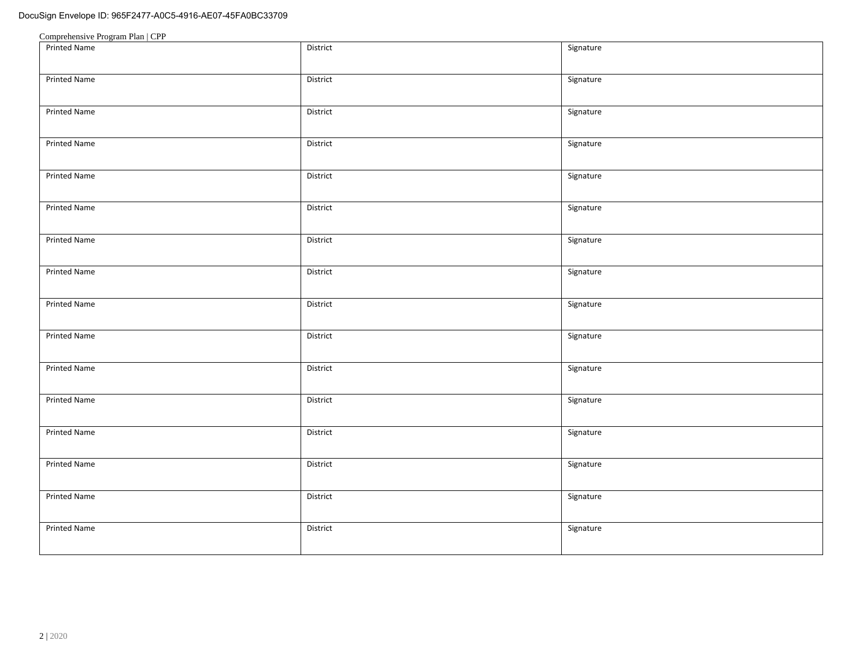| <b>Printed Name</b> | District | Signature |
|---------------------|----------|-----------|
| Printed Name        | District | Signature |
| <b>Printed Name</b> | District | Signature |
| Printed Name        | District | Signature |
| <b>Printed Name</b> | District | Signature |
| <b>Printed Name</b> | District | Signature |
| <b>Printed Name</b> | District | Signature |
| <b>Printed Name</b> | District | Signature |
| <b>Printed Name</b> | District | Signature |
| Printed Name        | District | Signature |
| Printed Name        | District | Signature |
| Printed Name        | District | Signature |
| Printed Name        | District | Signature |
| Printed Name        | District | Signature |
| Printed Name        | District | Signature |
| <b>Printed Name</b> | District | Signature |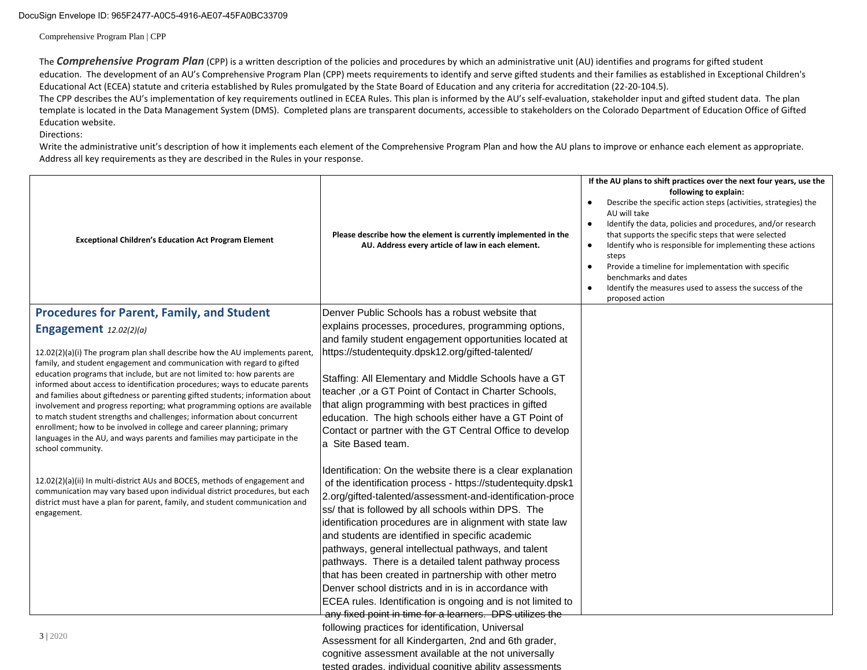Comprehensive Program Plan | CPP

The *Comprehensive Program Plan* (CPP) is a written description of the policies and procedures by which an administrative unit (AU) identifies and programs for gifted student education. The development of an AU's Comprehensive Program Plan (CPP) meets requirements to identify and serve gifted students and their families as established in Exceptional Children's Educational Act (ECEA) statute and criteria established by Rules promulgated by the State Board of Education and any criteria for accreditation (22-20-104.5).

The CPP describes the AU's implementation of key requirements outlined in ECEA Rules. This plan is informed by the AU's self-evaluation, stakeholder input and gifted student data. The plan template is located in the Data Management System (DMS). Completed plans are transparent documents, accessible to stakeholders on the Colorado Department of Education Office of Gifted Education website.

#### Directions:

Write the administrative unit's description of how it implements each element of the Comprehensive Program Plan and how the AU plans to improve or enhance each element as appropriate. Address all key requirements as they are described in the Rules in your response.

| <b>Exceptional Children's Education Act Program Element</b>                                                                                                                                                                                                                                                                                                                                                                                                                                                                                              | Please describe how the element is currently implemented in the<br>AU. Address every article of law in each element.                                                                                                                                                                                              | If the AU plans to shift practices over the next four years, use the<br>following to explain:<br>Describe the specific action steps (activities, strategies) the<br>AU will take<br>Identify the data, policies and procedures, and/or research<br>$\bullet$<br>that supports the specific steps that were selected<br>Identify who is responsible for implementing these actions<br>$\bullet$<br>steps<br>Provide a timeline for implementation with specific<br>$\bullet$<br>benchmarks and dates<br>Identify the measures used to assess the success of the<br>$\bullet$<br>proposed action |
|----------------------------------------------------------------------------------------------------------------------------------------------------------------------------------------------------------------------------------------------------------------------------------------------------------------------------------------------------------------------------------------------------------------------------------------------------------------------------------------------------------------------------------------------------------|-------------------------------------------------------------------------------------------------------------------------------------------------------------------------------------------------------------------------------------------------------------------------------------------------------------------|------------------------------------------------------------------------------------------------------------------------------------------------------------------------------------------------------------------------------------------------------------------------------------------------------------------------------------------------------------------------------------------------------------------------------------------------------------------------------------------------------------------------------------------------------------------------------------------------|
| <b>Procedures for Parent, Family, and Student</b>                                                                                                                                                                                                                                                                                                                                                                                                                                                                                                        | Denver Public Schools has a robust website that                                                                                                                                                                                                                                                                   |                                                                                                                                                                                                                                                                                                                                                                                                                                                                                                                                                                                                |
| Engagement $12.02(2)(a)$                                                                                                                                                                                                                                                                                                                                                                                                                                                                                                                                 | explains processes, procedures, programming options,                                                                                                                                                                                                                                                              |                                                                                                                                                                                                                                                                                                                                                                                                                                                                                                                                                                                                |
|                                                                                                                                                                                                                                                                                                                                                                                                                                                                                                                                                          | and family student engagement opportunities located at                                                                                                                                                                                                                                                            |                                                                                                                                                                                                                                                                                                                                                                                                                                                                                                                                                                                                |
| $12.02(2)(a)(i)$ The program plan shall describe how the AU implements parent,<br>family, and student engagement and communication with regard to gifted                                                                                                                                                                                                                                                                                                                                                                                                 | https://studentequity.dpsk12.org/gifted-talented/                                                                                                                                                                                                                                                                 |                                                                                                                                                                                                                                                                                                                                                                                                                                                                                                                                                                                                |
| education programs that include, but are not limited to: how parents are<br>informed about access to identification procedures; ways to educate parents<br>and families about giftedness or parenting gifted students; information about<br>involvement and progress reporting; what programming options are available<br>to match student strengths and challenges; information about concurrent<br>enrollment; how to be involved in college and career planning; primary<br>languages in the AU, and ways parents and families may participate in the | Staffing: All Elementary and Middle Schools have a GT<br>teacher, or a GT Point of Contact in Charter Schools,<br>that align programming with best practices in gifted<br>education. The high schools either have a GT Point of<br>Contact or partner with the GT Central Office to develop<br>a Site Based team. |                                                                                                                                                                                                                                                                                                                                                                                                                                                                                                                                                                                                |
| school community.<br>$12.02(2)(a)(ii)$ In multi-district AUs and BOCES, methods of engagement and<br>communication may vary based upon individual district procedures, but each                                                                                                                                                                                                                                                                                                                                                                          | Identification: On the website there is a clear explanation<br>of the identification process - https://studentequity.dpsk1                                                                                                                                                                                        |                                                                                                                                                                                                                                                                                                                                                                                                                                                                                                                                                                                                |
| district must have a plan for parent, family, and student communication and<br>engagement.                                                                                                                                                                                                                                                                                                                                                                                                                                                               | 2.org/gifted-talented/assessment-and-identification-proce<br>ss/ that is followed by all schools within DPS. The<br>identification procedures are in alignment with state law<br>and students are identified in specific academic                                                                                 |                                                                                                                                                                                                                                                                                                                                                                                                                                                                                                                                                                                                |
|                                                                                                                                                                                                                                                                                                                                                                                                                                                                                                                                                          | pathways, general intellectual pathways, and talent<br>pathways. There is a detailed talent pathway process                                                                                                                                                                                                       |                                                                                                                                                                                                                                                                                                                                                                                                                                                                                                                                                                                                |
|                                                                                                                                                                                                                                                                                                                                                                                                                                                                                                                                                          | that has been created in partnership with other metro<br>Denver school districts and in is in accordance with                                                                                                                                                                                                     |                                                                                                                                                                                                                                                                                                                                                                                                                                                                                                                                                                                                |
|                                                                                                                                                                                                                                                                                                                                                                                                                                                                                                                                                          | ECEA rules. Identification is ongoing and is not limited to                                                                                                                                                                                                                                                       |                                                                                                                                                                                                                                                                                                                                                                                                                                                                                                                                                                                                |
|                                                                                                                                                                                                                                                                                                                                                                                                                                                                                                                                                          | any fixed point in time for a learners. DPS utilizes the                                                                                                                                                                                                                                                          |                                                                                                                                                                                                                                                                                                                                                                                                                                                                                                                                                                                                |
|                                                                                                                                                                                                                                                                                                                                                                                                                                                                                                                                                          | following practices for identification, Universal                                                                                                                                                                                                                                                                 |                                                                                                                                                                                                                                                                                                                                                                                                                                                                                                                                                                                                |
| 3 2020                                                                                                                                                                                                                                                                                                                                                                                                                                                                                                                                                   | Assessment for all Kindergarten, 2nd and 6th grader,                                                                                                                                                                                                                                                              |                                                                                                                                                                                                                                                                                                                                                                                                                                                                                                                                                                                                |
|                                                                                                                                                                                                                                                                                                                                                                                                                                                                                                                                                          | cognitive assessment available at the not universally                                                                                                                                                                                                                                                             |                                                                                                                                                                                                                                                                                                                                                                                                                                                                                                                                                                                                |
|                                                                                                                                                                                                                                                                                                                                                                                                                                                                                                                                                          | tested grades, individual cognitive ability assessments                                                                                                                                                                                                                                                           |                                                                                                                                                                                                                                                                                                                                                                                                                                                                                                                                                                                                |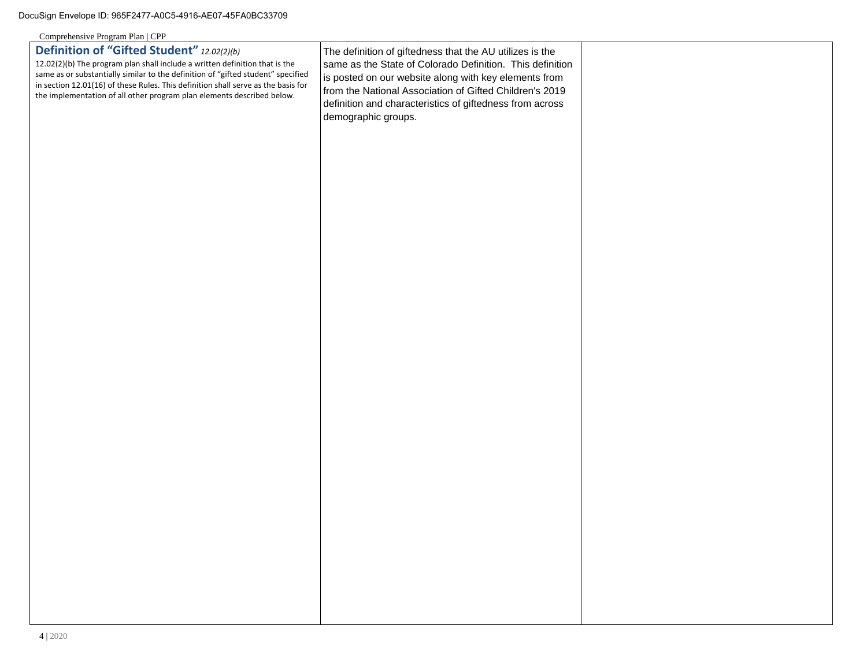| Comprenensive Program Pian   CPP                                                                                                                                      |                                                           |  |
|-----------------------------------------------------------------------------------------------------------------------------------------------------------------------|-----------------------------------------------------------|--|
| Definition of "Gifted Student" 12.02(2)(b)                                                                                                                            | The definition of giftedness that the AU utilizes is the  |  |
| 12.02(2)(b) The program plan shall include a written definition that is the                                                                                           | same as the State of Colorado Definition. This definition |  |
| same as or substantially similar to the definition of "gifted student" specified<br>in section 12.01(16) of these Rules. This definition shall serve as the basis for | is posted on our website along with key elements from     |  |
| the implementation of all other program plan elements described below.                                                                                                | from the National Association of Gifted Children's 2019   |  |
|                                                                                                                                                                       | definition and characteristics of giftedness from across  |  |
|                                                                                                                                                                       | demographic groups.                                       |  |
|                                                                                                                                                                       |                                                           |  |
|                                                                                                                                                                       |                                                           |  |
|                                                                                                                                                                       |                                                           |  |
|                                                                                                                                                                       |                                                           |  |
|                                                                                                                                                                       |                                                           |  |
|                                                                                                                                                                       |                                                           |  |
|                                                                                                                                                                       |                                                           |  |
|                                                                                                                                                                       |                                                           |  |
|                                                                                                                                                                       |                                                           |  |
|                                                                                                                                                                       |                                                           |  |
|                                                                                                                                                                       |                                                           |  |
|                                                                                                                                                                       |                                                           |  |
|                                                                                                                                                                       |                                                           |  |
|                                                                                                                                                                       |                                                           |  |
|                                                                                                                                                                       |                                                           |  |
|                                                                                                                                                                       |                                                           |  |
|                                                                                                                                                                       |                                                           |  |
|                                                                                                                                                                       |                                                           |  |
|                                                                                                                                                                       |                                                           |  |
|                                                                                                                                                                       |                                                           |  |
|                                                                                                                                                                       |                                                           |  |
|                                                                                                                                                                       |                                                           |  |
|                                                                                                                                                                       |                                                           |  |
|                                                                                                                                                                       |                                                           |  |
|                                                                                                                                                                       |                                                           |  |
|                                                                                                                                                                       |                                                           |  |
|                                                                                                                                                                       |                                                           |  |
|                                                                                                                                                                       |                                                           |  |
|                                                                                                                                                                       |                                                           |  |
|                                                                                                                                                                       |                                                           |  |
|                                                                                                                                                                       |                                                           |  |
|                                                                                                                                                                       |                                                           |  |
|                                                                                                                                                                       |                                                           |  |
|                                                                                                                                                                       |                                                           |  |
|                                                                                                                                                                       |                                                           |  |
|                                                                                                                                                                       |                                                           |  |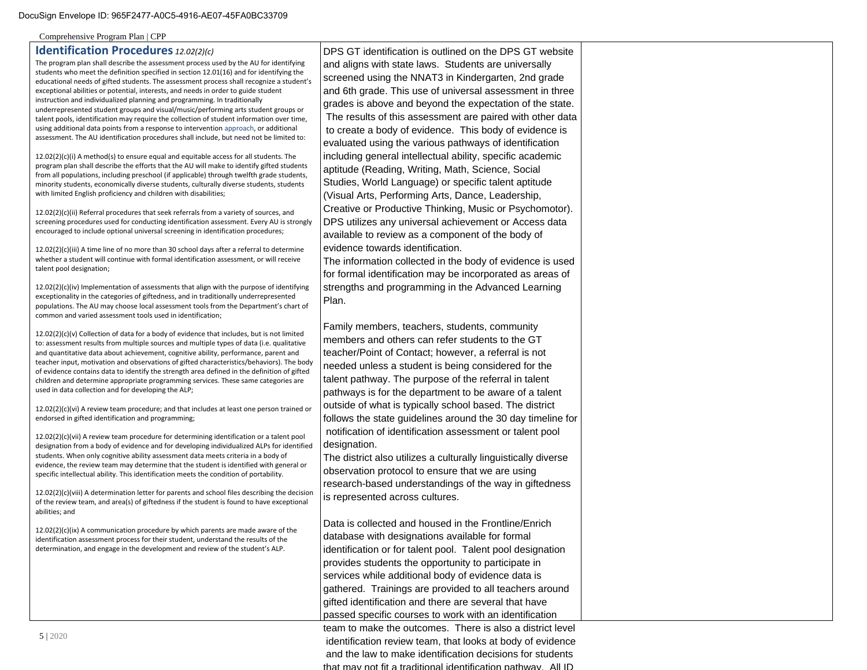## **Identification Procedures** *12.02(2)(c)*

The program plan shall describe the assessment process used by the AU for identifying students who meet the definition specified in section 12.01(16) and for identifying the educational needs of gifted students. The assessment process shall recognize a student's exceptional abilities or potential, interests, and needs in order to guide student instruction and individualized planning and programming. In traditionally underrepresented student groups and visual/music/performing arts student groups or talent pools, identification may require the collection of student information over time, using additional data points from a response to intervention approach, or additional assessment. The AU identification procedures shall include, but need not be limited to:

12.02(2)(c)(i) A method(s) to ensure equal and equitable access for all students. The program plan shall describe the efforts that the AU will make to identify gifted students from all populations, including preschool (if applicable) through twelfth grade students, minority students, economically diverse students, culturally diverse students, students with limited English proficiency and children with disabilities;

12.02(2)(c)(ii) Referral procedures that seek referrals from a variety of sources, and screening procedures used for conducting identification assessment. Every AU is strongly encouraged to include optional universal screening in identification procedures;

12.02(2)(c)(iii) A time line of no more than 30 school days after a referral to determine whether a student will continue with formal identification assessment, or will receive talent pool designation;

12.02(2)(c)(iv) Implementation of assessments that align with the purpose of identifying exceptionality in the categories of giftedness, and in traditionally underrepresented populations. The AU may choose local assessment tools from the Department's chart of common and varied assessment tools used in identification;

12.02(2)(c)(v) Collection of data for a body of evidence that includes, but is not limited to: assessment results from multiple sources and multiple types of data (i.e. qualitative and quantitative data about achievement, cognitive ability, performance, parent and teacher input, motivation and observations of gifted characteristics/behaviors). The body of evidence contains data to identify the strength area defined in the definition of gifted children and determine appropriate programming services. These same categories are used in data collection and for developing the ALP;

12.02(2)(c)(vi) A review team procedure; and that includes at least one person trained or endorsed in gifted identification and programming;

12.02(2)(c)(vii) A review team procedure for determining identification or a talent pool designation from a body of evidence and for developing individualized ALPs for identified students. When only cognitive ability assessment data meets criteria in a body of evidence, the review team may determine that the student is identified with general or specific intellectual ability. This identification meets the condition of portability.

12.02(2)(c)(viii) A determination letter for parents and school files describing the decision of the review team, and area(s) of giftedness if the student is found to have exceptional abilities; and

12.02(2)(c)(ix) A communication procedure by which parents are made aware of the identification assessment process for their student, understand the results of the determination, and engage in the development and review of the student's ALP.

DPS GT identification is outlined on the DPS GT website and aligns with state laws. Students are universally screened using the NNAT3 in Kindergarten, 2nd grade and 6th grade. This use of universal assessment in three grades is above and beyond the expectation of the state. The results of this assessment are paired with other data to create a body of evidence. This body of evidence is evaluated using the various pathways of identification including general intellectual ability, specific academic aptitude (Reading, Writing, Math, Science, Social Studies, World Language) or specific talent aptitude (Visual Arts, Performing Arts, Dance, Leadership, Creative or Productive Thinking, Music or Psychomotor). DPS utilizes any universal achievement or Access data available to review as a component of the body of evidence towards identification.

The information collected in the body of evidence is used for formal identification may be incorporated as areas of strengths and programming in the Advanced Learning Plan.

Family members, teachers, students, community members and others can refer students to the GT teacher/Point of Contact; however, a referral is not needed unless a student is being considered for the talent pathway. The purpose of the referral in talent pathways is for the department to be aware of a talent outside of what is typically school based. The district follows the state guidelines around the 30 day timeline for notification of identification assessment or talent pool designation.

The district also utilizes a culturally linguistically diverse observation protocol to ensure that we are using research-based understandings of the way in giftedness is represented across cultures.

Data is collected and housed in the Frontline/Enrich database with designations available for formal identification or for talent pool. Talent pool designation provides students the opportunity to participate in services while additional body of evidence data is gathered. Trainings are provided to all teachers around gifted identification and there are several that have passed specific courses to work with an identification

team to make the outcomes. There is also a district level identification review team, that looks at body of evidence and the law to make identification decisions for students that may not fit a traditional identification pathway. All ID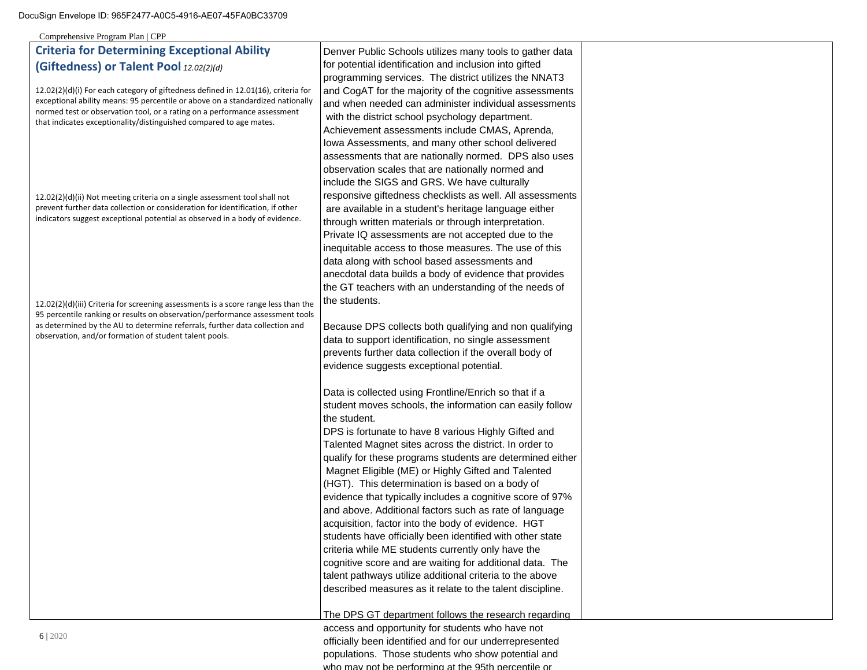Comprehensive Program Plan | CPP

# **Criteria for Determining Exceptional Ability (Giftedness) or Talent Pool** *12.02(2)(d)*

12.02(2)(d)(i) For each category of giftedness defined in 12.01(16), criteria for exceptional ability means: 95 percentile or above on a standardized nationally normed test or observation tool, or a rating on a performance assessment that indicates exceptionality/distinguished compared to age mates.

12.02(2)(d)(ii) Not meeting criteria on a single assessment tool shall not prevent further data collection or consideration for identification, if other indicators suggest exceptional potential as observed in a body of evidence.

12.02(2)(d)(iii) Criteria for screening assessments is a score range less than the 95 percentile ranking or results on observation/performance assessment tools as determined by the AU to determine referrals, further data collection and observation, and/or formation of student talent pools.

Denver Public Schools utilizes many tools to gather data for potential identification and inclusion into gifted programming services. The district utilizes the NNAT3 and CogAT for the majority of the cognitive assessments and when needed can administer individual assessments with the district school psychology department. Achievement assessments include CMAS, Aprenda, Iowa Assessments, and many other school delivered assessments that are nationally normed. DPS also uses observation scales that are nationally normed and include the SIGS and GRS. We have culturally responsive giftedness checklists as well. All assessments are available in a student's heritage language either through written materials or through interpretation. Private IQ assessments are not accepted due to the inequitable access to those measures. The use of this data along with school based assessments and anecdotal data builds a body of evidence that provides the GT teachers with an understanding of the needs of the students.

Because DPS collects both qualifying and non qualifying data to support identification, no single assessment prevents further data collection if the overall body of evidence suggests exceptional potential.

Data is collected using Frontline/Enrich so that if a student moves schools, the information can easily follow the student.

DPS is fortunate to have 8 various Highly Gifted and Talented Magnet sites across the district. In order to qualify for these programs students are determined either Magnet Eligible (ME) or Highly Gifted and Talented (HGT). This determination is based on a body of evidence that typically includes a cognitive score of 97% and above. Additional factors such as rate of language acquisition, factor into the body of evidence. HGT students have officially been identified with other state criteria while ME students currently only have the cognitive score and are waiting for additional data. The talent pathways utilize additional criteria to the above described measures as it relate to the talent discipline.

The DPS GT department follows the research regarding

access and opportunity for students who have not officially been identified and for our underrepresented populations. Those students who show potential and who may not be performing at the 95th percentile or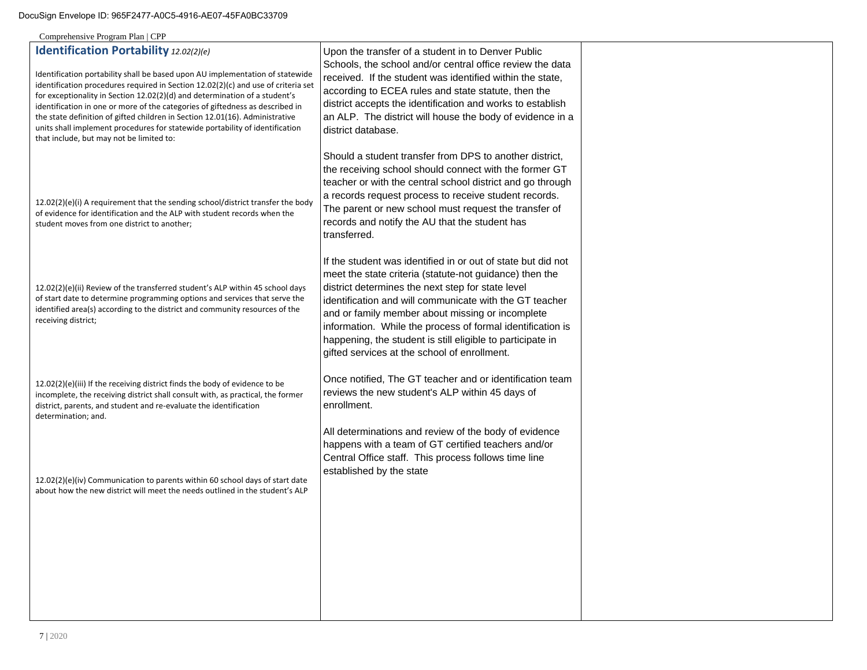| Identification Portability 12.02(2)(e)<br>Identification portability shall be based upon AU implementation of statewide<br>identification procedures required in Section 12.02(2)(c) and use of criteria set<br>for exceptionality in Section 12.02(2)(d) and determination of a student's<br>identification in one or more of the categories of giftedness as described in<br>the state definition of gifted children in Section 12.01(16). Administrative<br>units shall implement procedures for statewide portability of identification<br>that include, but may not be limited to: | Upon the transfer of a student in to Denver Public<br>Schools, the school and/or central office review the data<br>received. If the student was identified within the state,<br>according to ECEA rules and state statute, then the<br>district accepts the identification and works to establish<br>an ALP. The district will house the body of evidence in a<br>district database.                                                                                    |  |
|-----------------------------------------------------------------------------------------------------------------------------------------------------------------------------------------------------------------------------------------------------------------------------------------------------------------------------------------------------------------------------------------------------------------------------------------------------------------------------------------------------------------------------------------------------------------------------------------|-------------------------------------------------------------------------------------------------------------------------------------------------------------------------------------------------------------------------------------------------------------------------------------------------------------------------------------------------------------------------------------------------------------------------------------------------------------------------|--|
| 12.02(2)(e)(i) A requirement that the sending school/district transfer the body<br>of evidence for identification and the ALP with student records when the<br>student moves from one district to another;                                                                                                                                                                                                                                                                                                                                                                              | Should a student transfer from DPS to another district,<br>the receiving school should connect with the former GT<br>teacher or with the central school district and go through<br>a records request process to receive student records.<br>The parent or new school must request the transfer of<br>records and notify the AU that the student has<br>transferred.                                                                                                     |  |
| 12.02(2)(e)(ii) Review of the transferred student's ALP within 45 school days<br>of start date to determine programming options and services that serve the<br>identified area(s) according to the district and community resources of the<br>receiving district;                                                                                                                                                                                                                                                                                                                       | If the student was identified in or out of state but did not<br>meet the state criteria (statute-not guidance) then the<br>district determines the next step for state level<br>identification and will communicate with the GT teacher<br>and or family member about missing or incomplete<br>information. While the process of formal identification is<br>happening, the student is still eligible to participate in<br>gifted services at the school of enrollment. |  |
| 12.02(2)(e)(iii) If the receiving district finds the body of evidence to be<br>incomplete, the receiving district shall consult with, as practical, the former<br>district, parents, and student and re-evaluate the identification<br>determination; and.                                                                                                                                                                                                                                                                                                                              | Once notified, The GT teacher and or identification team<br>reviews the new student's ALP within 45 days of<br>enrollment.                                                                                                                                                                                                                                                                                                                                              |  |
| 12.02(2)(e)(iv) Communication to parents within 60 school days of start date<br>about how the new district will meet the needs outlined in the student's ALP                                                                                                                                                                                                                                                                                                                                                                                                                            | All determinations and review of the body of evidence<br>happens with a team of GT certified teachers and/or<br>Central Office staff. This process follows time line<br>established by the state                                                                                                                                                                                                                                                                        |  |
|                                                                                                                                                                                                                                                                                                                                                                                                                                                                                                                                                                                         |                                                                                                                                                                                                                                                                                                                                                                                                                                                                         |  |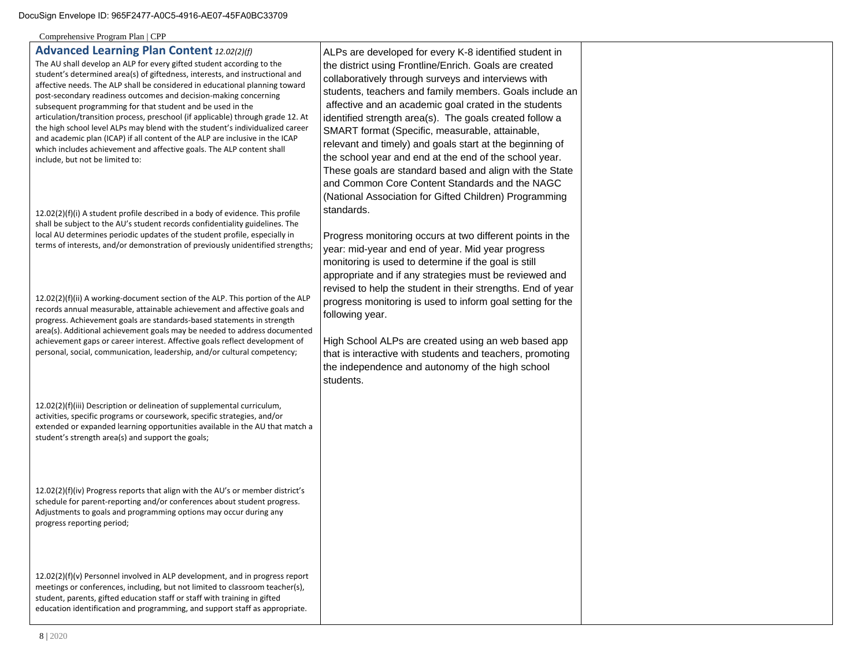Comprehensive Program Plan | CPP

## **Advanced Learning Plan Content** *12.02(2)(f)*

The AU shall develop an ALP for every gifted student according to the student's determined area(s) of giftedness, interests, and instructional and affective needs. The ALP shall be considered in educational planning toward post-secondary readiness outcomes and decision-making concerning subsequent programming for that student and be used in the articulation/transition process, preschool (if applicable) through grade 12. At the high school level ALPs may blend with the student's individualized career and academic plan (ICAP) if all content of the ALP are inclusive in the ICAP which includes achievement and affective goals. The ALP content shall include, but not be limited to:

12.02(2)(f)(i) A student profile described in a body of evidence. This profile shall be subject to the AU's student records confidentiality guidelines. The local AU determines periodic updates of the student profile, especially in terms of interests, and/or demonstration of previously unidentified strengths;

12.02(2)(f)(ii) A working-document section of the ALP. This portion of the ALP records annual measurable, attainable achievement and affective goals and progress. Achievement goals are standards-based statements in strength area(s). Additional achievement goals may be needed to address documented achievement gaps or career interest. Affective goals reflect development of personal, social, communication, leadership, and/or cultural competency;

12.02(2)(f)(iii) Description or delineation of supplemental curriculum, activities, specific programs or coursework, specific strategies, and/or extended or expanded learning opportunities available in the AU that match a student's strength area(s) and support the goals;

12.02(2)(f)(iv) Progress reports that align with the AU's or member district's schedule for parent-reporting and/or conferences about student progress. Adjustments to goals and programming options may occur during any progress reporting period;

12.02(2)(f)(v) Personnel involved in ALP development, and in progress report meetings or conferences, including, but not limited to classroom teacher(s), student, parents, gifted education staff or staff with training in gifted education identification and programming, and support staff as appropriate.

ALPs are developed for every K-8 identified student in the district using Frontline/Enrich. Goals are created collaboratively through surveys and interviews with students, teachers and family members. Goals include an affective and an academic goal crated in the students identified strength area(s). The goals created follow a SMART format (Specific, measurable, attainable, relevant and timely) and goals start at the beginning of the school year and end at the end of the school year. These goals are standard based and align with the State and Common Core Content Standards and the NAGC (National Association for Gifted Children) Programming standards.

Progress monitoring occurs at two different points in the year: mid-year and end of year. Mid year progress monitoring is used to determine if the goal is still appropriate and if any strategies must be reviewed and revised to help the student in their strengths. End of year progress monitoring is used to inform goal setting for the following year.

High School ALPs are created using an web based app that is interactive with students and teachers, promoting the independence and autonomy of the high school students.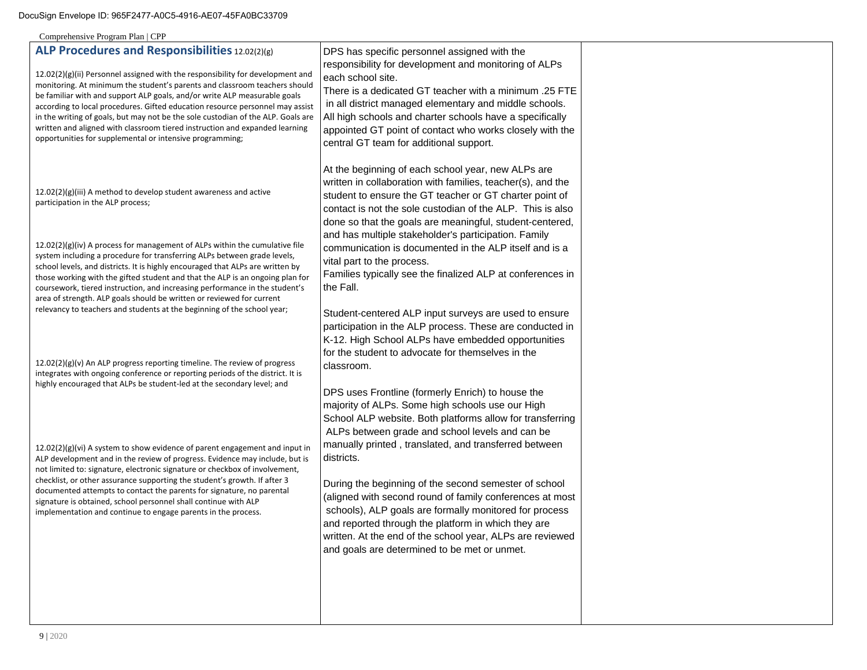| ALP Procedures and Responsibilities 12.02(2)(g)<br>12.02(2)(g)(ii) Personnel assigned with the responsibility for development and<br>monitoring. At minimum the student's parents and classroom teachers should<br>be familiar with and support ALP goals, and/or write ALP measurable goals<br>according to local procedures. Gifted education resource personnel may assist<br>in the writing of goals, but may not be the sole custodian of the ALP. Goals are<br>written and aligned with classroom tiered instruction and expanded learning<br>opportunities for supplemental or intensive programming; | DPS has specific personnel assigned with the<br>responsibility for development and monitoring of ALPs<br>each school site.<br>There is a dedicated GT teacher with a minimum .25 FTE<br>in all district managed elementary and middle schools.<br>All high schools and charter schools have a specifically<br>appointed GT point of contact who works closely with the<br>central GT team for additional support. |  |
|--------------------------------------------------------------------------------------------------------------------------------------------------------------------------------------------------------------------------------------------------------------------------------------------------------------------------------------------------------------------------------------------------------------------------------------------------------------------------------------------------------------------------------------------------------------------------------------------------------------|-------------------------------------------------------------------------------------------------------------------------------------------------------------------------------------------------------------------------------------------------------------------------------------------------------------------------------------------------------------------------------------------------------------------|--|
| 12.02(2)(g)(iii) A method to develop student awareness and active<br>participation in the ALP process;                                                                                                                                                                                                                                                                                                                                                                                                                                                                                                       | At the beginning of each school year, new ALPs are<br>written in collaboration with families, teacher(s), and the<br>student to ensure the GT teacher or GT charter point of<br>contact is not the sole custodian of the ALP. This is also<br>done so that the goals are meaningful, student-centered,                                                                                                            |  |
| 12.02(2)(g)(iv) A process for management of ALPs within the cumulative file<br>system including a procedure for transferring ALPs between grade levels,<br>school levels, and districts. It is highly encouraged that ALPs are written by<br>those working with the gifted student and that the ALP is an ongoing plan for<br>coursework, tiered instruction, and increasing performance in the student's<br>area of strength. ALP goals should be written or reviewed for current                                                                                                                           | and has multiple stakeholder's participation. Family<br>communication is documented in the ALP itself and is a<br>vital part to the process.<br>Families typically see the finalized ALP at conferences in<br>the Fall.                                                                                                                                                                                           |  |
| relevancy to teachers and students at the beginning of the school year;<br>12.02(2)(g)(v) An ALP progress reporting timeline. The review of progress<br>integrates with ongoing conference or reporting periods of the district. It is<br>highly encouraged that ALPs be student-led at the secondary level; and                                                                                                                                                                                                                                                                                             | Student-centered ALP input surveys are used to ensure<br>participation in the ALP process. These are conducted in<br>K-12. High School ALPs have embedded opportunities<br>for the student to advocate for themselves in the<br>classroom.                                                                                                                                                                        |  |
| 12.02(2)(g)(vi) A system to show evidence of parent engagement and input in<br>ALP development and in the review of progress. Evidence may include, but is                                                                                                                                                                                                                                                                                                                                                                                                                                                   | DPS uses Frontline (formerly Enrich) to house the<br>majority of ALPs. Some high schools use our High<br>School ALP website. Both platforms allow for transferring<br>ALPs between grade and school levels and can be<br>manually printed, translated, and transferred between<br>districts.                                                                                                                      |  |
| not limited to: signature, electronic signature or checkbox of involvement,<br>checklist, or other assurance supporting the student's growth. If after 3<br>documented attempts to contact the parents for signature, no parental<br>signature is obtained, school personnel shall continue with ALP<br>implementation and continue to engage parents in the process.                                                                                                                                                                                                                                        | During the beginning of the second semester of school<br>(aligned with second round of family conferences at most<br>schools), ALP goals are formally monitored for process<br>and reported through the platform in which they are<br>written. At the end of the school year, ALPs are reviewed                                                                                                                   |  |
|                                                                                                                                                                                                                                                                                                                                                                                                                                                                                                                                                                                                              | and goals are determined to be met or unmet.                                                                                                                                                                                                                                                                                                                                                                      |  |

T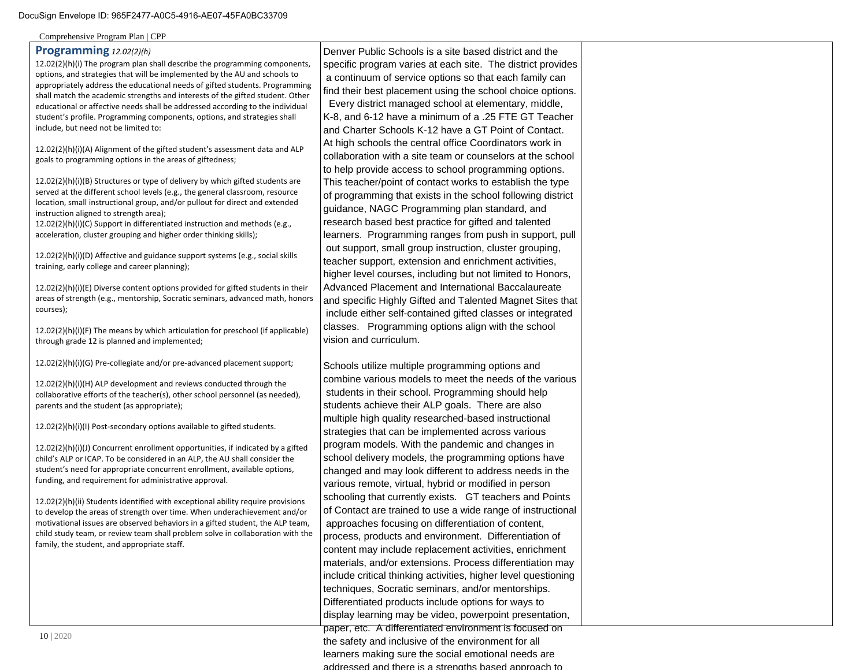Comprehensive Program Plan | CPP

#### **Programming** *12.02(2)(h)*

12.02(2)(h)(i) The program plan shall describe the programming components, options, and strategies that will be implemented by the AU and schools to appropriately address the educational needs of gifted students. Programming shall match the academic strengths and interests of the gifted student. Other educational or affective needs shall be addressed according to the individual student's profile. Programming components, options, and strategies shall include, but need not be limited to:

12.02(2)(h)(i)(A) Alignment of the gifted student's assessment data and ALP goals to programming options in the areas of giftedness;

12.02(2)(h)(i)(B) Structures or type of delivery by which gifted students are served at the different school levels (e.g., the general classroom, resource location, small instructional group, and/or pullout for direct and extended instruction aligned to strength area);

12.02(2)(h)(i)(C) Support in differentiated instruction and methods (e.g., acceleration, cluster grouping and higher order thinking skills);

12.02(2)(h)(i)(D) Affective and guidance support systems (e.g., social skills training, early college and career planning);

12.02(2)(h)(i)(E) Diverse content options provided for gifted students in their areas of strength (e.g., mentorship, Socratic seminars, advanced math, honors courses);

12.02(2)(h)(i)(F) The means by which articulation for preschool (if applicable) through grade 12 is planned and implemented;

12.02(2)(h)(i)(G) Pre-collegiate and/or pre-advanced placement support;

12.02(2)(h)(i)(H) ALP development and reviews conducted through the collaborative efforts of the teacher(s), other school personnel (as needed), parents and the student (as appropriate);

12.02(2)(h)(i)(I) Post-secondary options available to gifted students.

12.02(2)(h)(i)(J) Concurrent enrollment opportunities, if indicated by a gifted child's ALP or ICAP. To be considered in an ALP, the AU shall consider the student's need for appropriate concurrent enrollment, available options, funding, and requirement for administrative approval.

12.02(2)(h)(ii) Students identified with exceptional ability require provisions to develop the areas of strength over time. When underachievement and/or motivational issues are observed behaviors in a gifted student, the ALP team, child study team, or review team shall problem solve in collaboration with the family, the student, and appropriate staff.

Denver Public Schools is a site based district and the specific program varies at each site. The district provides a continuum of service options so that each family can find their best placement using the school choice options. Every district managed school at elementary, middle, K-8, and 6-12 have a minimum of a .25 FTE GT Teacher and Charter Schools K-12 have a GT Point of Contact. At high schools the central office Coordinators work in collaboration with a site team or counselors at the school to help provide access to school programming options. This teacher/point of contact works to establish the type of programming that exists in the school following district guidance, NAGC Programming plan standard, and research based best practice for gifted and talented learners. Programming ranges from push in support, pull out support, small group instruction, cluster grouping, teacher support, extension and enrichment activities, higher level courses, including but not limited to Honors, Advanced Placement and International Baccalaureate and specific Highly Gifted and Talented Magnet Sites that include either self-contained gifted classes or integrated classes. Programming options align with the school vision and curriculum.

Schools utilize multiple programming options and combine various models to meet the needs of the various students in their school. Programming should help students achieve their ALP goals. There are also multiple high quality researched-based instructional strategies that can be implemented across various program models. With the pandemic and changes in school delivery models, the programming options have changed and may look different to address needs in the various remote, virtual, hybrid or modified in person schooling that currently exists. GT teachers and Points of Contact are trained to use a wide range of instructional approaches focusing on differentiation of content, process, products and environment. Differentiation of content may include replacement activities, enrichment materials, and/or extensions. Process differentiation may include critical thinking activities, higher level questioning techniques, Socratic seminars, and/or mentorships. Differentiated products include options for ways to display learning may be video, powerpoint presentation, paper, etc. A differentiated environment is focused on the safety and inclusive of the environment for all learners making sure the social emotional needs are

addressed and there is a strengths based approach to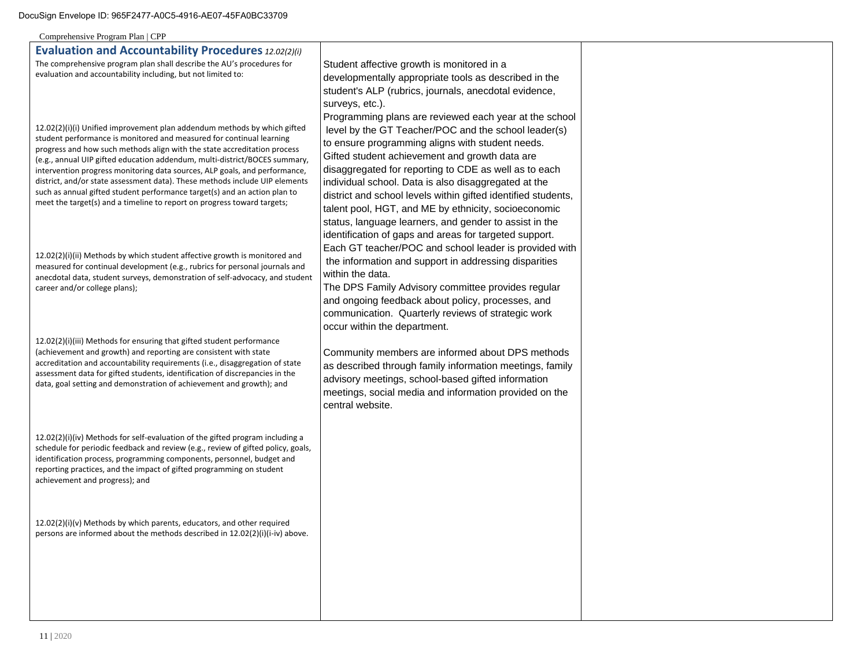| Comprehensive Program Plan   CPP                                                                                                                                                                                                                                                                                                                                                                                                                                                                                                                                                                                                |                                                                                                                                                                                                                                                                                                                                                                                                                                                                                                                                                                                    |  |
|---------------------------------------------------------------------------------------------------------------------------------------------------------------------------------------------------------------------------------------------------------------------------------------------------------------------------------------------------------------------------------------------------------------------------------------------------------------------------------------------------------------------------------------------------------------------------------------------------------------------------------|------------------------------------------------------------------------------------------------------------------------------------------------------------------------------------------------------------------------------------------------------------------------------------------------------------------------------------------------------------------------------------------------------------------------------------------------------------------------------------------------------------------------------------------------------------------------------------|--|
| <b>Evaluation and Accountability Procedures 12.02(2)(i)</b>                                                                                                                                                                                                                                                                                                                                                                                                                                                                                                                                                                     |                                                                                                                                                                                                                                                                                                                                                                                                                                                                                                                                                                                    |  |
| The comprehensive program plan shall describe the AU's procedures for<br>evaluation and accountability including, but not limited to:                                                                                                                                                                                                                                                                                                                                                                                                                                                                                           | Student affective growth is monitored in a<br>developmentally appropriate tools as described in the<br>student's ALP (rubrics, journals, anecdotal evidence,<br>surveys, etc.).                                                                                                                                                                                                                                                                                                                                                                                                    |  |
| 12.02(2)(i)(i) Unified improvement plan addendum methods by which gifted<br>student performance is monitored and measured for continual learning<br>progress and how such methods align with the state accreditation process<br>(e.g., annual UIP gifted education addendum, multi-district/BOCES summary,<br>intervention progress monitoring data sources, ALP goals, and performance,<br>district, and/or state assessment data). These methods include UIP elements<br>such as annual gifted student performance target(s) and an action plan to<br>meet the target(s) and a timeline to report on progress toward targets; | Programming plans are reviewed each year at the school<br>level by the GT Teacher/POC and the school leader(s)<br>to ensure programming aligns with student needs.<br>Gifted student achievement and growth data are<br>disaggregated for reporting to CDE as well as to each<br>individual school. Data is also disaggregated at the<br>district and school levels within gifted identified students,<br>talent pool, HGT, and ME by ethnicity, socioeconomic<br>status, language learners, and gender to assist in the<br>identification of gaps and areas for targeted support. |  |
| 12.02(2)(i)(ii) Methods by which student affective growth is monitored and<br>measured for continual development (e.g., rubrics for personal journals and<br>anecdotal data, student surveys, demonstration of self-advocacy, and student<br>career and/or college plans);                                                                                                                                                                                                                                                                                                                                                      | Each GT teacher/POC and school leader is provided with<br>the information and support in addressing disparities<br>within the data.<br>The DPS Family Advisory committee provides regular<br>and ongoing feedback about policy, processes, and<br>communication. Quarterly reviews of strategic work<br>occur within the department.                                                                                                                                                                                                                                               |  |
| 12.02(2)(i)(iii) Methods for ensuring that gifted student performance<br>(achievement and growth) and reporting are consistent with state<br>accreditation and accountability requirements (i.e., disaggregation of state<br>assessment data for gifted students, identification of discrepancies in the<br>data, goal setting and demonstration of achievement and growth); and                                                                                                                                                                                                                                                | Community members are informed about DPS methods<br>as described through family information meetings, family<br>advisory meetings, school-based gifted information<br>meetings, social media and information provided on the<br>central website.                                                                                                                                                                                                                                                                                                                                   |  |
| 12.02(2)(i)(iv) Methods for self-evaluation of the gifted program including a<br>schedule for periodic feedback and review (e.g., review of gifted policy, goals,<br>identification process, programming components, personnel, budget and<br>reporting practices, and the impact of gifted programming on student<br>achievement and progress); and                                                                                                                                                                                                                                                                            |                                                                                                                                                                                                                                                                                                                                                                                                                                                                                                                                                                                    |  |
| $12.02(2)(i)(v)$ Methods by which parents, educators, and other required<br>persons are informed about the methods described in 12.02(2)(i)(i-iv) above.                                                                                                                                                                                                                                                                                                                                                                                                                                                                        |                                                                                                                                                                                                                                                                                                                                                                                                                                                                                                                                                                                    |  |
|                                                                                                                                                                                                                                                                                                                                                                                                                                                                                                                                                                                                                                 |                                                                                                                                                                                                                                                                                                                                                                                                                                                                                                                                                                                    |  |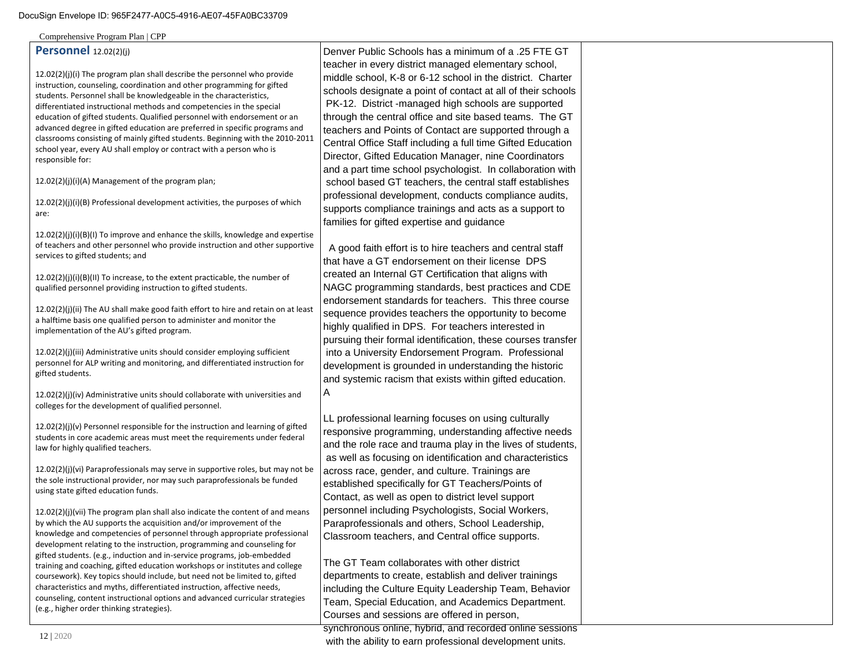Comprehensive Program Plan | CPP

## **Personnel** 12.02(2)(j)

12.02(2)(j)(i) The program plan shall describe the personnel who provide instruction, counseling, coordination and other programming for gifted students. Personnel shall be knowledgeable in the characteristics, differentiated instructional methods and competencies in the special education of gifted students. Qualified personnel with endorsement or an advanced degree in gifted education are preferred in specific programs and classrooms consisting of mainly gifted students. Beginning with the 2010-2011 school year, every AU shall employ or contract with a person who is responsible for:

12.02(2)(j)(i)(A) Management of the program plan;

12.02(2)(j)(i)(B) Professional development activities, the purposes of which are:

12.02(2)(j)(i)(B)(I) To improve and enhance the skills, knowledge and expertise of teachers and other personnel who provide instruction and other supportive services to gifted students; and

12.02(2)(j)(i)(B)(II) To increase, to the extent practicable, the number of qualified personnel providing instruction to gifted students.

12.02(2)(j)(ii) The AU shall make good faith effort to hire and retain on at least a halftime basis one qualified person to administer and monitor the implementation of the AU's gifted program.

12.02(2)(j)(iii) Administrative units should consider employing sufficient personnel for ALP writing and monitoring, and differentiated instruction for gifted students.

12.02(2)(j)(iv) Administrative units should collaborate with universities and colleges for the development of qualified personnel.

12.02(2)(j)(v) Personnel responsible for the instruction and learning of gifted students in core academic areas must meet the requirements under federal law for highly qualified teachers.

12.02(2)(j)(vi) Paraprofessionals may serve in supportive roles, but may not be the sole instructional provider, nor may such paraprofessionals be funded using state gifted education funds.

12.02(2)(j)(vii) The program plan shall also indicate the content of and means by which the AU supports the acquisition and/or improvement of the knowledge and competencies of personnel through appropriate professional development relating to the instruction, programming and counseling for gifted students. (e.g., induction and in-service programs, job-embedded training and coaching, gifted education workshops or institutes and college coursework). Key topics should include, but need not be limited to, gifted characteristics and myths, differentiated instruction, affective needs, counseling, content instructional options and advanced curricular strategies (e.g., higher order thinking strategies).

Denver Public Schools has a minimum of a .25 FTE GT teacher in every district managed elementary school, middle school, K-8 or 6-12 school in the district. Charter schools designate a point of contact at all of their schools PK-12. District -managed high schools are supported through the central office and site based teams. The GT teachers and Points of Contact are supported through a Central Office Staff including a full time Gifted Education Director, Gifted Education Manager, nine Coordinators and a part time school psychologist. In collaboration with school based GT teachers, the central staff establishes professional development, conducts compliance audits, supports compliance trainings and acts as a support to families for gifted expertise and guidance

 A good faith effort is to hire teachers and central staff that have a GT endorsement on their license DPS created an Internal GT Certification that aligns with NAGC programming standards, best practices and CDE endorsement standards for teachers. This three course sequence provides teachers the opportunity to become highly qualified in DPS. For teachers interested in pursuing their formal identification, these courses transfer into a University Endorsement Program. Professional development is grounded in understanding the historic and systemic racism that exists within gifted education. A

LL professional learning focuses on using culturally responsive programming, understanding affective needs and the role race and trauma play in the lives of students, as well as focusing on identification and characteristics across race, gender, and culture. Trainings are established specifically for GT Teachers/Points of Contact, as well as open to district level support personnel including Psychologists, Social Workers, Paraprofessionals and others, School Leadership, Classroom teachers, and Central office supports.

The GT Team collaborates with other district departments to create, establish and deliver trainings including the Culture Equity Leadership Team, Behavior Team, Special Education, and Academics Department. Courses and sessions are offered in person,

synchronous online, hybrid, and recorded online sessions with the ability to earn professional development units.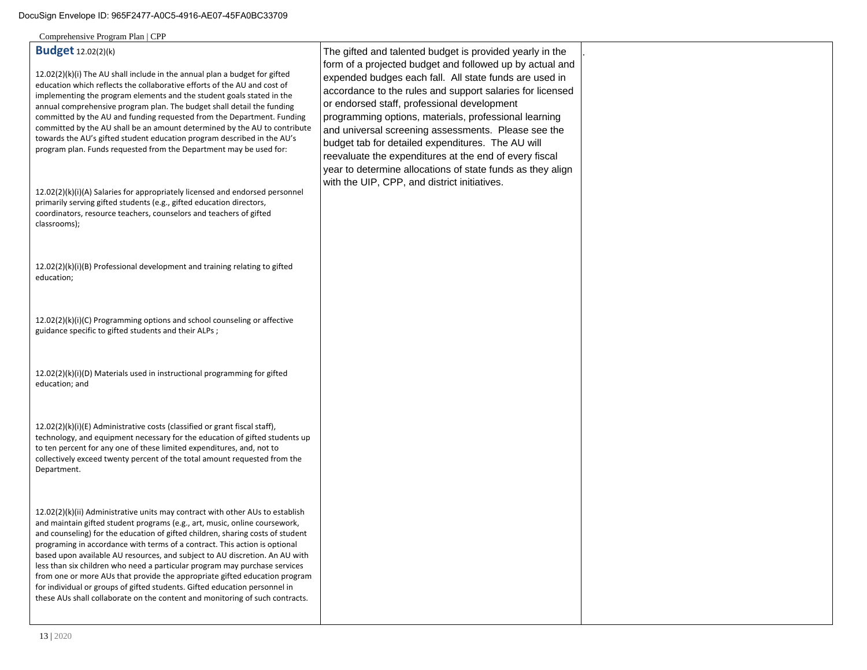# **Budget** 12.02(2)(k)

12.02(2)(k)(i) The AU shall include in the annual plan a budget for gifted education which reflects the collaborative efforts of the AU and cost of implementing the program elements and the student goals stated in the annual comprehensive program plan. The budget shall detail the funding committed by the AU and funding requested from the Department. Funding committed by the AU shall be an amount determined by the AU to contribute towards the AU's gifted student education program described in the AU's program plan. Funds requested from the Department may be used for:

12.02(2)(k)(i)(A) Salaries for appropriately licensed and endorsed personnel primarily serving gifted students (e.g., gifted education directors, coordinators, resource teachers, counselors and teachers of gifted classrooms);

12.02(2)(k)(i)(B) Professional development and training relating to gifted education;

12.02(2)(k)(i)(C) Programming options and school counseling or affective guidance specific to gifted students and their ALPs ;

12.02(2)(k)(i)(D) Materials used in instructional programming for gifted education; and

12.02(2)(k)(i)(E) Administrative costs (classified or grant fiscal staff), technology, and equipment necessary for the education of gifted students up to ten percent for any one of these limited expenditures, and, not to collectively exceed twenty percent of the total amount requested from the Department.

12.02(2)(k)(ii) Administrative units may contract with other AUs to establish and maintain gifted student programs (e.g., art, music, online coursework, and counseling) for the education of gifted children, sharing costs of student programing in accordance with terms of a contract. This action is optional based upon available AU resources, and subject to AU discretion. An AU with less than six children who need a particular program may purchase services from one or more AUs that provide the appropriate gifted education program for individual or groups of gifted students. Gifted education personnel in these AUs shall collaborate on the content and monitoring of such contracts.

The gifted and talented budget is provided yearly in the form of a projected budget and followed up by actual and expended budges each fall. All state funds are used in accordance to the rules and support salaries for licensed or endorsed staff, professional development programming options, materials, professional learning and universal screening assessments. Please see the budget tab for detailed expenditures. The AU will reevaluate the expenditures at the end of every fiscal year to determine allocations of state funds as they align with the UIP, CPP, and district initiatives.

.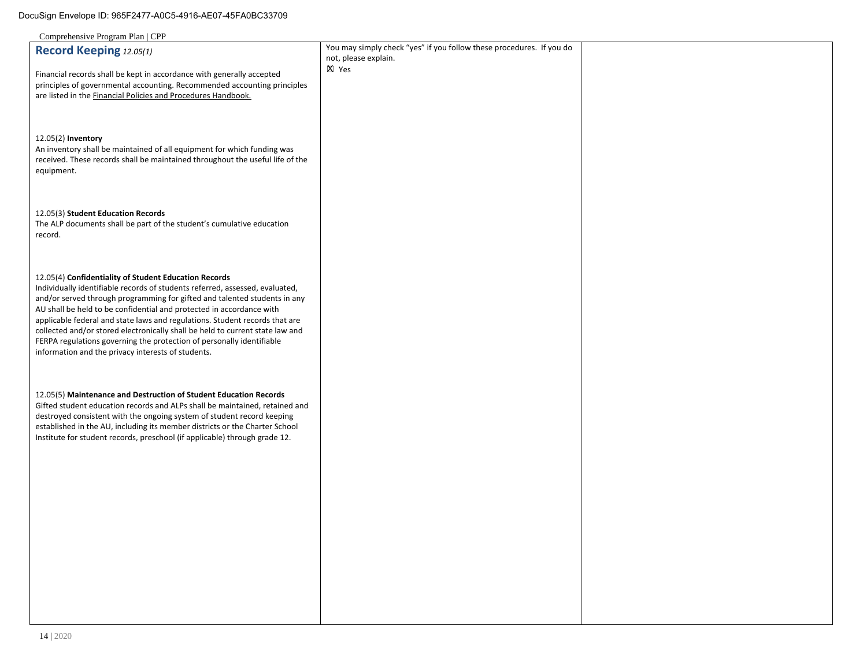| $\frac{1}{2}$                                                                                                                         |                                                                      |  |
|---------------------------------------------------------------------------------------------------------------------------------------|----------------------------------------------------------------------|--|
| Record Keeping 12.05(1)                                                                                                               | You may simply check "yes" if you follow these procedures. If you do |  |
|                                                                                                                                       | not, please explain.                                                 |  |
| Financial records shall be kept in accordance with generally accepted                                                                 | X Yes                                                                |  |
| principles of governmental accounting. Recommended accounting principles                                                              |                                                                      |  |
| are listed in the Financial Policies and Procedures Handbook.                                                                         |                                                                      |  |
|                                                                                                                                       |                                                                      |  |
|                                                                                                                                       |                                                                      |  |
|                                                                                                                                       |                                                                      |  |
| 12.05(2) Inventory                                                                                                                    |                                                                      |  |
| An inventory shall be maintained of all equipment for which funding was                                                               |                                                                      |  |
| received. These records shall be maintained throughout the useful life of the                                                         |                                                                      |  |
| equipment.                                                                                                                            |                                                                      |  |
|                                                                                                                                       |                                                                      |  |
|                                                                                                                                       |                                                                      |  |
|                                                                                                                                       |                                                                      |  |
| 12.05(3) Student Education Records                                                                                                    |                                                                      |  |
| The ALP documents shall be part of the student's cumulative education                                                                 |                                                                      |  |
| record.                                                                                                                               |                                                                      |  |
|                                                                                                                                       |                                                                      |  |
|                                                                                                                                       |                                                                      |  |
|                                                                                                                                       |                                                                      |  |
| 12.05(4) Confidentiality of Student Education Records<br>Individually identifiable records of students referred, assessed, evaluated, |                                                                      |  |
| and/or served through programming for gifted and talented students in any                                                             |                                                                      |  |
| AU shall be held to be confidential and protected in accordance with                                                                  |                                                                      |  |
| applicable federal and state laws and regulations. Student records that are                                                           |                                                                      |  |
| collected and/or stored electronically shall be held to current state law and                                                         |                                                                      |  |
| FERPA regulations governing the protection of personally identifiable                                                                 |                                                                      |  |
| information and the privacy interests of students.                                                                                    |                                                                      |  |
|                                                                                                                                       |                                                                      |  |
|                                                                                                                                       |                                                                      |  |
|                                                                                                                                       |                                                                      |  |
| 12.05(5) Maintenance and Destruction of Student Education Records                                                                     |                                                                      |  |
| Gifted student education records and ALPs shall be maintained, retained and                                                           |                                                                      |  |
| destroyed consistent with the ongoing system of student record keeping                                                                |                                                                      |  |
| established in the AU, including its member districts or the Charter School                                                           |                                                                      |  |
| Institute for student records, preschool (if applicable) through grade 12.                                                            |                                                                      |  |
|                                                                                                                                       |                                                                      |  |
|                                                                                                                                       |                                                                      |  |
|                                                                                                                                       |                                                                      |  |
|                                                                                                                                       |                                                                      |  |
|                                                                                                                                       |                                                                      |  |
|                                                                                                                                       |                                                                      |  |
|                                                                                                                                       |                                                                      |  |
|                                                                                                                                       |                                                                      |  |
|                                                                                                                                       |                                                                      |  |
|                                                                                                                                       |                                                                      |  |
|                                                                                                                                       |                                                                      |  |
|                                                                                                                                       |                                                                      |  |
|                                                                                                                                       |                                                                      |  |
|                                                                                                                                       |                                                                      |  |
|                                                                                                                                       |                                                                      |  |
|                                                                                                                                       |                                                                      |  |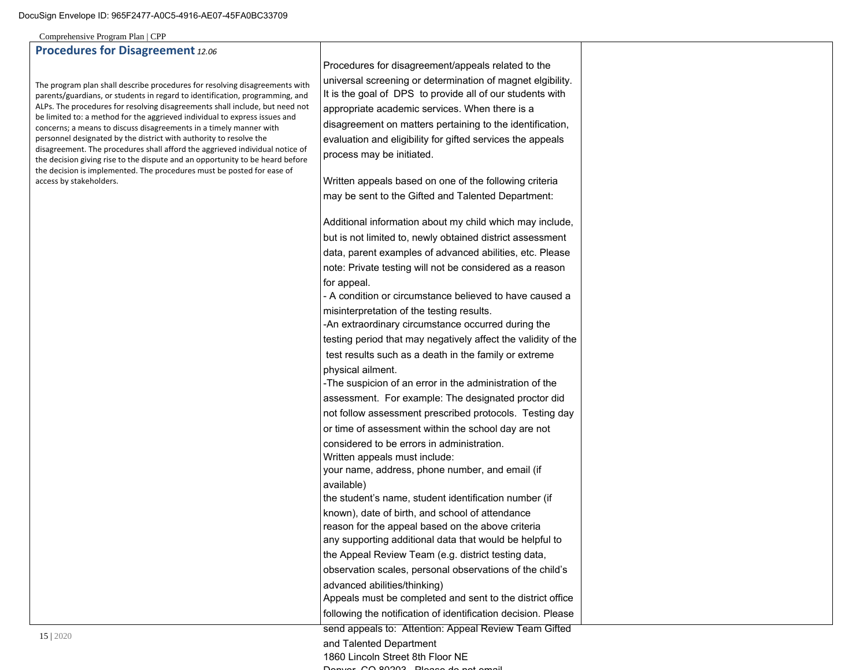# **Procedures for Disagreement** *12.06*

The program plan shall describe procedures for resolving disagreements with parents/guardians, or students in regard to identification, programming, and ALPs. The procedures for resolving disagreements shall include, but need not be limited to: a method for the aggrieved individual to express issues and concerns; a means to discuss disagreements in a timely manner with personnel designated by the district with authority to resolve the disagreement. The procedures shall afford the aggrieved individual notice of the decision giving rise to the dispute and an opportunity to be heard before the decision is implemented. The procedures must be posted for ease of access by stakeholders.

Procedures for disagreement/appeals related to the universal screening or determination of magnet elgibility. It is the goal of DPS to provide all of our students with appropriate academic services. When there is a disagreement on matters pertaining to the identification, evaluation and eligibility for gifted services the appeals process may be initiated.

Written appeals based on one of the following criteria may be sent to the Gifted and Talented Department:

Additional information about my child which may include, but is not limited to, newly obtained district assessment data, parent examples of advanced abilities, etc. Please note: Private testing will not be considered as a reason for appeal.

- A condition or circumstance believed to have caused a misinterpretation of the testing results.

-An extraordinary circumstance occurred during the testing period that may negatively affect the validity of the

 test results such as a death in the family or extreme physical ailment.

-The suspicion of an error in the administration of the assessment. For example: The designated proctor did

not follow assessment prescribed protocols. Testing day

or time of assessment within the school day are not

considered to be errors in administration.

Written appeals must include:

your name, address, phone number, and email (if available)

the student's name, student identification number (if known), date of birth, and school of attendance

reason for the appeal based on the above criteria

any supporting additional data that would be helpful to the Appeal Review Team (e.g. district testing data,

observation scales, personal observations of the child's

advanced abilities/thinking)

Appeals must be completed and sent to the district office following the notification of identification decision. Please

send appeals to: Attention: Appeal Review Team Gifted

and Talented Department

1860 Lincoln Street 8th Floor NE